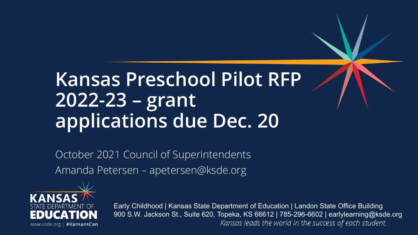### **Kansas Preschool Pilot RFP 2022-23 – grant applications due Dec. 20**

October 2021 Council of Superintendents Amanda Petersen – apetersen@ksde.org



Early Childhood | Kansas State Department of Education | Landon State Office Building 900 S.W. Jackson St., Suite 620, Topeka, KS 66612 | 785-296-6602 | earlylearning@ksde.orgKansas leads the world in the success of each student.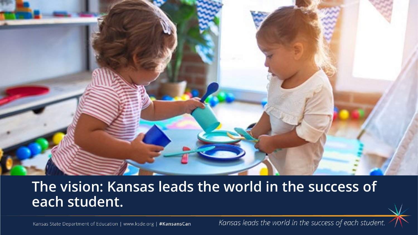

#### **The vision: Kansas leads the world in the success of each student.**

Kansas State Department of Education | www.ksde.org | #KansansCan

Kansas leads the world in the success of each student.

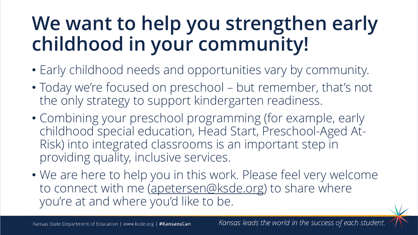## **We want to help you strengthen early childhood in your community!**

- Early childhood needs and opportunities vary by community.
- Today we're focused on preschool but remember, that's not the only strategy to support kindergarten readiness.
- Combining your preschool programming (for example, early childhood special education, Head Start, Preschool-Aged At-Risk) into integrated classrooms is an important step in providing quality, inclusive services.
- We are here to help you in this work. Please feel very welcome to connect with me ([apetersen@ksde.org\)](mailto:apetersen@ksde.org) to share where you're at and where you'd like to be.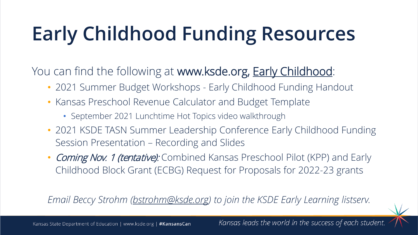# **Early Childhood Funding Resources**

You can find the following at www.ksde.org, **Early Childhood**:

- 2021 Summer Budget Workshops Early Childhood Funding Handout
- Kansas Preschool Revenue Calculator and Budget Template
	- September 2021 Lunchtime Hot Topics video walkthrough
- 2021 KSDE TASN Summer Leadership Conference Early Childhood Funding Session Presentation – Recording and Slides
- Coming Nov. 1 (tentative): Combined Kansas Preschool Pilot (KPP) and Early Childhood Block Grant (ECBG) Request for Proposals for 2022-23 grants

*Email Beccy Strohm ([bstrohm@ksde.org\)](mailto:bstrohm@ksde.org) to join the KSDE Early Learning listserv.*



Kansas leads the world in the success of each student.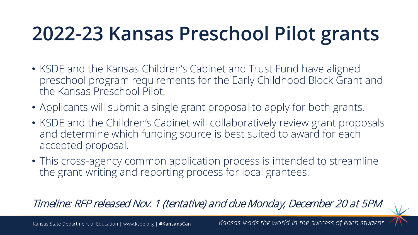## **2022-23 Kansas Preschool Pilot grants**

- KSDE and the Kansas Children's Cabinet and Trust Fund have aligned preschool program requirements for the Early Childhood Block Grant and the Kansas Preschool Pilot.
- Applicants will submit a single grant proposal to apply for both grants.
- KSDE and the Children's Cabinet will collaboratively review grant proposals and determine which funding source is best suited to award for each accepted proposal.
- This cross-agency common application process is intended to streamline the grant-writing and reporting process for local grantees.

Timeline: RFP released Nov. 1 (tentative) and due Monday, December 20 at 5PM